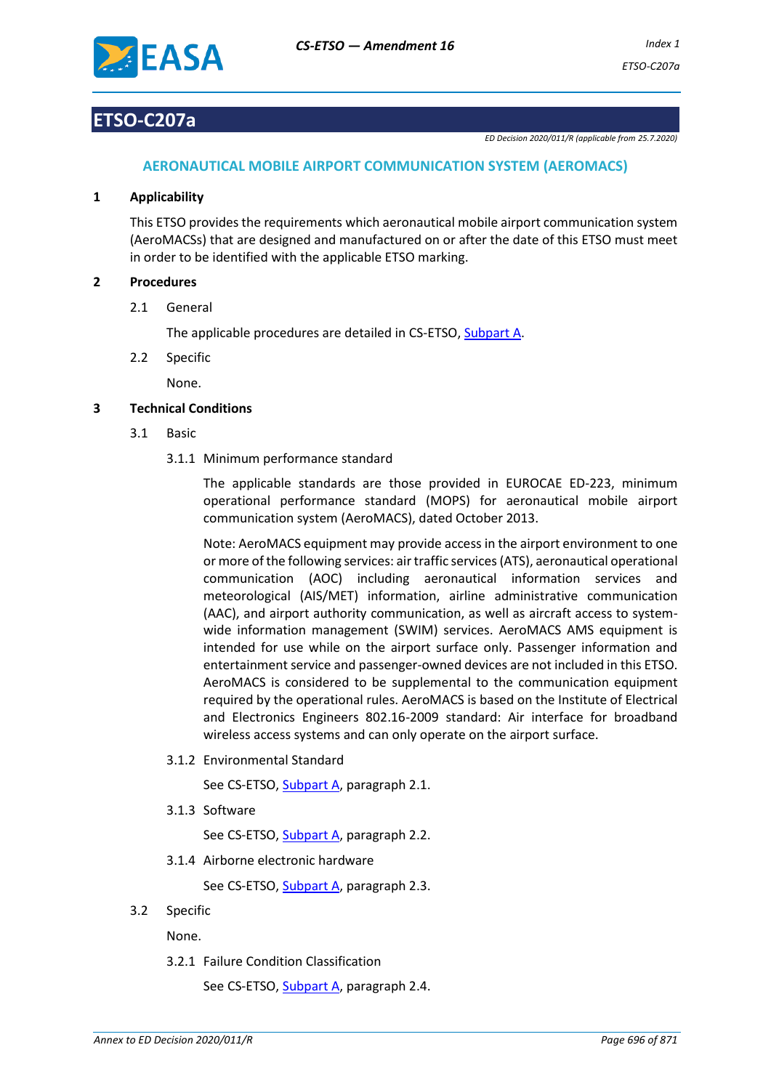

# **ETSO-C207a**

*ED Decision 2020/011/R (applicable from 25.7.2020)*

# **AERONAUTICAL MOBILE AIRPORT COMMUNICATION SYSTEM (AEROMACS)**

## **1 Applicability**

This ETSO provides the requirements which aeronautical mobile airport communication system (AeroMACSs) that are designed and manufactured on or after the date of this ETSO must meet in order to be identified with the applicable ETSO marking.

## **2 Procedures**

2.1 General

The applicable procedures are detailed in CS-ETSO, Subpart A.

2.2 Specific

None.

## **3 Technical Conditions**

- 3.1 Basic
	- 3.1.1 Minimum performance standard

The applicable standards are those provided in EUROCAE ED-223, minimum operational performance standard (MOPS) for aeronautical mobile airport communication system (AeroMACS), dated October 2013.

Note: AeroMACS equipment may provide access in the airport environment to one or more of the following services: air traffic services (ATS), aeronautical operational communication (AOC) including aeronautical information services and meteorological (AIS/MET) information, airline administrative communication (AAC), and airport authority communication, as well as aircraft access to systemwide information management (SWIM) services. AeroMACS AMS equipment is intended for use while on the airport surface only. Passenger information and entertainment service and passenger-owned devices are not included in this ETSO. AeroMACS is considered to be supplemental to the communication equipment required by the operational rules. AeroMACS is based on the Institute of Electrical and Electronics Engineers 802.16-2009 standard: Air interface for broadband wireless access systems and can only operate on the airport surface.

3.1.2 Environmental Standard

See CS-ETSO, Subpart A, paragraph 2.1.

3.1.3 Software

See CS-ETSO, Subpart A, paragraph 2.2.

3.1.4 Airborne electronic hardware

See CS-ETSO, Subpart A, paragraph 2.3.

### 3.2 Specific

None.

3.2.1 Failure Condition Classification

See CS-ETSO, Subpart A, paragraph 2.4.